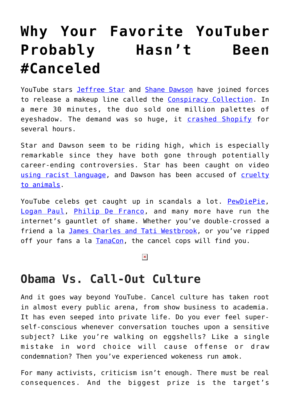# **[Why Your Favorite YouTuber](https://intellectualtakeout.org/2019/11/why-your-favorite-youtuber-probably-hasnt-been-canceled/) [Probably Hasn't Been](https://intellectualtakeout.org/2019/11/why-your-favorite-youtuber-probably-hasnt-been-canceled/) [#Canceled](https://intellectualtakeout.org/2019/11/why-your-favorite-youtuber-probably-hasnt-been-canceled/)**

YouTube stars [Jeffree Star](https://en.wikipedia.org/wiki/Jeffree_Star) and [Shane Dawson](https://en.wikipedia.org/wiki/Shane_Dawson) have joined forces to release a makeup line called the [Conspiracy Collection](https://jeffreestarcosmetics.com/collections/shane-x-jeffree-conspiracy-collection). In a mere 30 minutes, the duo sold one million palettes of eyeshadow. The demand was so huge, it [crashed Shopify](https://mashable.com/article/shane-dawson-jeffree-star-conspiracy-makeup-broke-shopify/) for several hours.

Star and Dawson seem to be riding high, which is especially remarkable since they have both gone through potentially career-ending controversies. Star has been caught on video [using racist language,](https://www.vox.com/2018/8/28/17769996/laura-lee-jeffree-star-racism-subscriber-count) and Dawson has been accused of [cruelty](https://www.standard.co.uk/showbiz/celebrity-news/youtuber-shane-shane-dawson-cat-comments-youtuber-apologises-over-resurfaced-bestiality-remarks-a4094346.html) [to animals.](https://www.standard.co.uk/showbiz/celebrity-news/youtuber-shane-shane-dawson-cat-comments-youtuber-apologises-over-resurfaced-bestiality-remarks-a4094346.html)

YouTube celebs get caught up in scandals a lot. [PewDiePie,](https://www.nytimes.com/2017/02/14/business/pewdiepie-youtube-disney.html) [Logan Paul,](https://www.bbc.com/news/newsbeat-49975907) [Philip De Franco,](https://www.theatlantic.com/technology/archive/2018/10/youtube-stars-accused-of-profiting-off-depression-betterhelp-shane-dawson-phillip-defranco-elle-mills/572803/) and many more have run the internet's gauntlet of shame. Whether you've double-crossed a friend a la [James Charles and Tati Westbrook,](https://www.seventeen.com/beauty/celeb-beauty/a29000775/james-charles-tati-westbrook-drama/) or you've ripped off your fans a la [TanaCon,](http://nymag.com/intelligencer/2018/06/what-happened-at-tanacon.html) the cancel cops will find you.

### $\pmb{\times}$

### **Obama Vs. Call-Out Culture**

And it goes way beyond YouTube. Cancel culture has taken root in almost every public arena, from show business to academia. It has even seeped into private life. Do you ever feel superself-conscious whenever conversation touches upon a sensitive subject? Like you're walking on eggshells? Like a single mistake in word choice will cause offense or draw condemnation? Then you've experienced wokeness run amok.

For many activists, criticism isn't enough. There must be real consequences. And the biggest prize is the target's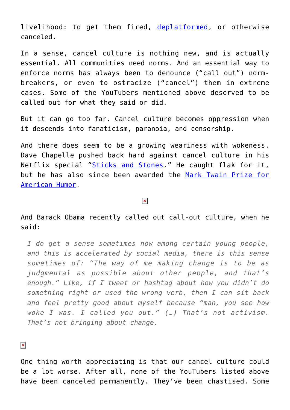livelihood: to get them fired, [deplatformed](https://fee.org/articles/jordan-peterson-s-thinkspot-is-a-welcome-social-media-option-will-it-work/), or otherwise canceled.

In a sense, cancel culture is nothing new, and is actually essential. All communities need norms. And an essential way to enforce norms has always been to denounce ("call out") normbreakers, or even to ostracize ("cancel") them in extreme cases. Some of the YouTubers mentioned above deserved to be called out for what they said or did.

But it can go too far. Cancel culture becomes oppression when it descends into fanaticism, paranoia, and censorship.

And there does seem to be a growing weariness with wokeness. Dave Chapelle pushed back hard against cancel culture in his Netflix special "[Sticks and Stones.](https://en.wikipedia.org/wiki/Dave_Chappelle:_Sticks_%26_Stones)" He caught flak for it, but he has also since been awarded the [Mark Twain Prize for](https://www.cnn.com/2019/10/28/entertainment/dave-chappelle-mark-twain-award-humor/index.html) [American Humor](https://www.cnn.com/2019/10/28/entertainment/dave-chappelle-mark-twain-award-humor/index.html).

#### $\pmb{\times}$

And Barack Obama recently called out call-out culture, when he said:

*I do get a sense sometimes now among certain young people, and this is accelerated by social media, there is this sense sometimes of: "The way of me making change is to be as judgmental as possible about other people, and that's enough." Like, if I tweet or hashtag about how you didn't do something right or used the wrong verb, then I can sit back and feel pretty good about myself because "man, you see how woke I was. I called you out." (…) That's not activism. That's not bringing about change.*

 $\pmb{\times}$ 

One thing worth appreciating is that our cancel culture could be a lot worse. After all, none of the YouTubers listed above have been canceled permanently. They've been chastised. Some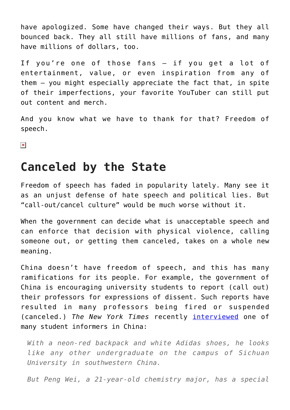have apologized. Some have changed their ways. But they all bounced back. They all still have millions of fans, and many have millions of dollars, too.

If you're one of those fans – if you get a lot of entertainment, value, or even inspiration from any of them – you might especially appreciate the fact that, in spite of their imperfections, your favorite YouTuber can still put out content and merch.

And you know what we have to thank for that? Freedom of speech.

 $\pmb{\times}$ 

## **Canceled by the State**

Freedom of speech has faded in popularity lately. Many see it as an unjust defense of hate speech and political lies. But "call-out/cancel culture" would be much worse without it.

When the government can decide what is unacceptable speech and can enforce that decision with physical violence, calling someone out, or getting them canceled, takes on a whole new meaning.

China doesn't have freedom of speech, and this has many ramifications for its people. For example, the government of China is encouraging university students to report (call out) their professors for expressions of dissent. Such reports have resulted in many professors being fired or suspended (canceled.) *The New York Times* recently [interviewed](https://www.nytimes.com/2019/11/01/world/asia/china-student-informers.html) one of many student informers in China:

*With a neon-red backpack and white Adidas shoes, he looks like any other undergraduate on the campus of Sichuan University in southwestern China.* 

*But Peng Wei, a 21-year-old chemistry major, has a special*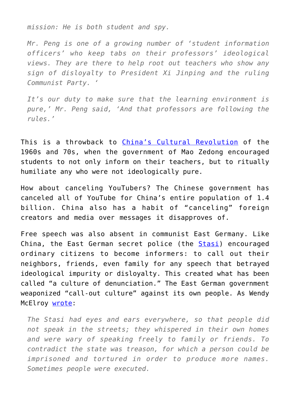*mission: He is both student and spy.* 

*Mr. Peng is one of a growing number of 'student information officers' who keep tabs on their professors' ideological views. They are there to help root out teachers who show any sign of disloyalty to President Xi Jinping and the ruling Communist Party. '*

*It's our duty to make sure that the learning environment is pure,' Mr. Peng said, 'And that professors are following the rules.'*

This is a throwback to [China's Cultural Revolution](https://en.wikipedia.org/wiki/Cultural_Revolution) of the 1960s and 70s, when the government of Mao Zedong encouraged students to not only inform on their teachers, but to ritually humiliate any who were not ideologically pure.

How about canceling YouTubers? The Chinese government has canceled all of YouTube for China's entire population of 1.4 billion. China also has a habit of "canceling" foreign creators and media over messages it disapproves of.

Free speech was also absent in communist East Germany. Like China, the East German secret police (the [Stasi](https://en.wikipedia.org/wiki/Stasi)) encouraged ordinary citizens to become informers: to call out their neighbors, friends, even family for any speech that betrayed ideological impurity or disloyalty. This created what has been called "a culture of denunciation." The East German government weaponized "call-out culture" against its own people. As Wendy McElroy [wrote](https://www.fff.org/explore-freedom/article/creating-a-culture-of-denunciation/):

*The Stasi had eyes and ears everywhere, so that people did not speak in the streets; they whispered in their own homes and were wary of speaking freely to family or friends. To contradict the state was treason, for which a person could be imprisoned and tortured in order to produce more names. Sometimes people were executed.*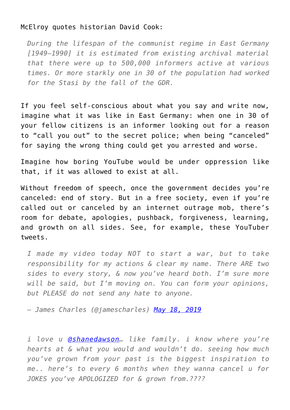#### McElroy quotes historian David Cook:

*During the lifespan of the communist regime in East Germany [1949–1990] it is estimated from existing archival material that there were up to 500,000 informers active at various times. Or more starkly one in 30 of the population had worked for the Stasi by the fall of the GDR.*

If you feel self-conscious about what you say and write now, imagine what it was like in East Germany: when one in 30 of your fellow citizens is an informer looking out for a reason to "call you out" to the secret police; when being "canceled" for saying the wrong thing could get you arrested and worse.

Imagine how boring YouTube would be under oppression like that, if it was allowed to exist at all.

Without freedom of speech, once the government decides you're canceled: end of story. But in a free society, even if you're called out or canceled by an internet outrage mob, there's room for debate, apologies, pushback, forgiveness, learning, and growth on all sides. See, for example, these YouTuber tweets.

*I made my video today NOT to start a war, but to take responsibility for my actions & clear my name. There ARE two sides to every story, & now you've heard both. I'm sure more will be said, but I'm moving on. You can form your opinions, but PLEASE do not send any hate to anyone.*

*— James Charles (@jamescharles) [May 18, 2019](https://twitter.com/jamescharles/status/1129828669365469184?ref_src=twsrc%5Etfw)*

*i love u [@shanedawson](https://twitter.com/shanedawson?ref_src=twsrc%5Etfw)… like family. i know where you're hearts at & what you would and wouldn't do. seeing how much you've grown from your past is the biggest inspiration to me.. here's to every 6 months when they wanna cancel u for JOKES you've APOLOGIZED for & grown from.????*